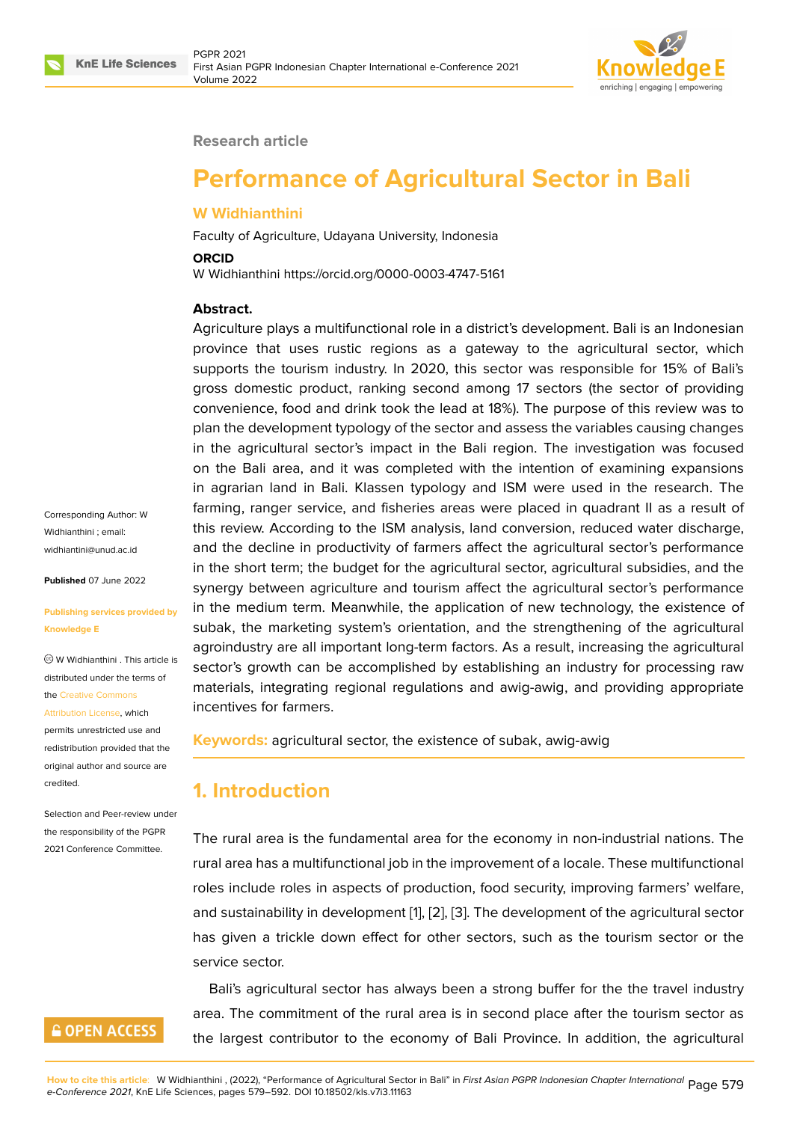



#### **Research article**

# **Performance of Agricultural Sector in Bali**

#### **W Widhianthini**

Faculty of Agriculture, Udayana University, Indonesia

#### **ORCID**

W Widhianthini https://orcid.org/0000-0003-4747-5161

#### **Abstract.**

Agriculture plays a multifunctional role in a district's development. Bali is an Indonesian province that uses rustic regions as a gateway to the agricultural sector, which supports the tourism industry. In 2020, this sector was responsible for 15% of Bali's gross domestic product, ranking second among 17 sectors (the sector of providing convenience, food and drink took the lead at 18%). The purpose of this review was to plan the development typology of the sector and assess the variables causing changes in the agricultural sector's impact in the Bali region. The investigation was focused on the Bali area, and it was completed with the intention of examining expansions in agrarian land in Bali. Klassen typology and ISM were used in the research. The farming, ranger service, and fisheries areas were placed in quadrant II as a result of this review. According to the ISM analysis, land conversion, reduced water discharge, and the decline in productivity of farmers affect the agricultural sector's performance in the short term; the budget for the agricultural sector, agricultural subsidies, and the synergy between agriculture and tourism affect the agricultural sector's performance in the medium term. Meanwhile, the application of new technology, the existence of subak, the marketing system's orientation, and the strengthening of the agricultural agroindustry are all important long-term factors. As a result, increasing the agricultural sector's growth can be accomplished by establishing an industry for processing raw materials, integrating regional regulations and awig-awig, and providing appropriate incentives for farmers.

**Keywords:** agricultural sector, the existence of subak, awig-awig

# **1. Introduction**

The rural area is the fundamental area for the economy in non-industrial nations. The rural area has a multifunctional job in the improvement of a locale. These multifunctional roles include roles in aspects of production, food security, improving farmers' welfare, and sustainability in development [1], [2], [3]. The development of the agricultural sector has given a trickle down effect for other sectors, such as the tourism sector or the service sector.

Bali's agricultural sector has al[wa](#page-11-0)y[s](#page-11-1) b[ee](#page-11-2)n a strong buffer for the the travel industry area. The commitment of the rural area is in second place after the tourism sector as the largest contributor to the economy of Bali Province. In addition, the agricultural

Corresponding Author: W Widhianthini ; email: widhiantini@unud.ac.id

**Published** 07 June 2022

#### **[Publishing services pro](mailto:widhiantini@unud.ac.id)vided by Knowledge E**

W Widhianthini . This article is distributed under the terms of the Creative Commons

Attribution License, which

permits unrestricted use and redistribution provided that the orig[inal author and sou](https://creativecommons.org/licenses/by/4.0/)rce are [credited.](https://creativecommons.org/licenses/by/4.0/)

Selection and Peer-review under the responsibility of the PGPR 2021 Conference Committee.

# **GOPEN ACCESS**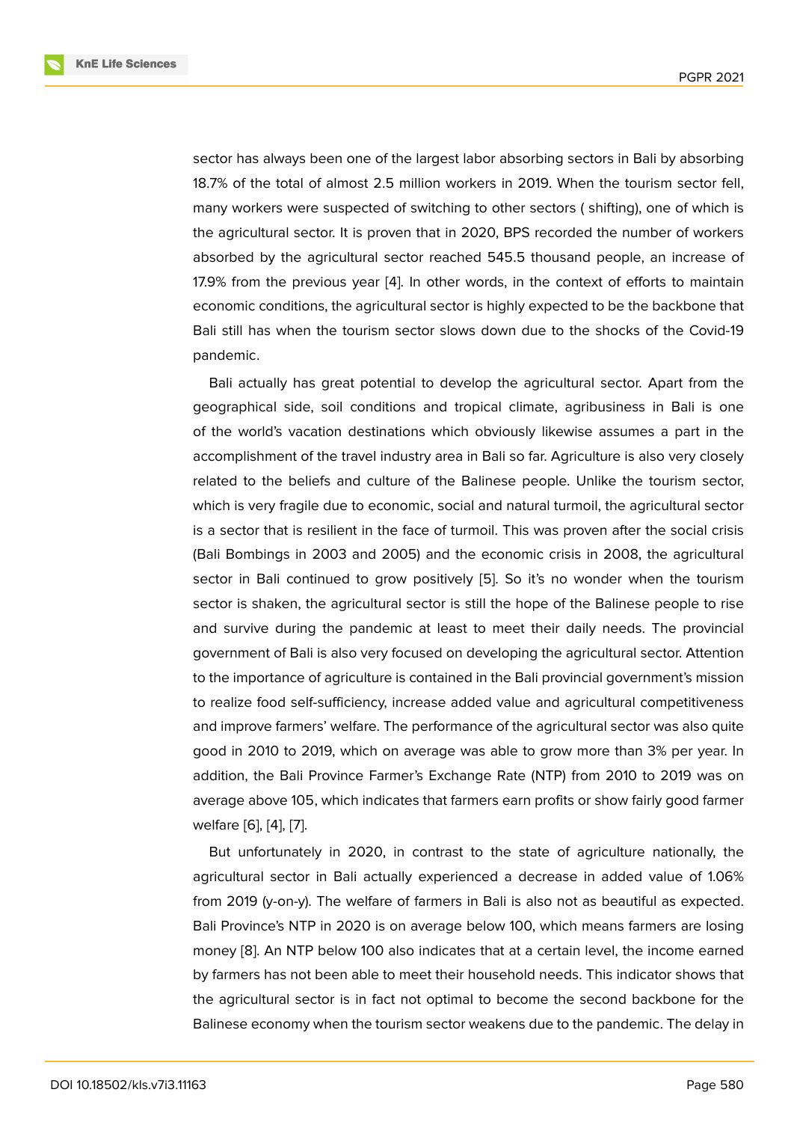sector has always been one of the largest labor absorbing sectors in Bali by absorbing 18.7% of the total of almost 2.5 million workers in 2019. When the tourism sector fell, many workers were suspected of switching to other sectors ( shifting), one of which is the agricultural sector. It is proven that in 2020, BPS recorded the number of workers absorbed by the agricultural sector reached 545.5 thousand people, an increase of 17.9% from the previous year [4]. In other words, in the context of efforts to maintain economic conditions, the agricultural sector is highly expected to be the backbone that Bali still has when the tourism sector slows down due to the shocks of the Covid-19 pandemic.

Bali actually has great potential to develop the agricultural sector. Apart from the geographical side, soil conditions and tropical climate, agribusiness in Bali is one of the world's vacation destinations which obviously likewise assumes a part in the accomplishment of the travel industry area in Bali so far. Agriculture is also very closely related to the beliefs and culture of the Balinese people. Unlike the tourism sector, which is very fragile due to economic, social and natural turmoil, the agricultural sector is a sector that is resilient in the face of turmoil. This was proven after the social crisis (Bali Bombings in 2003 and 2005) and the economic crisis in 2008, the agricultural sector in Bali continued to grow positively [5]. So it's no wonder when the tourism sector is shaken, the agricultural sector is still the hope of the Balinese people to rise and survive during the pandemic at least to meet their daily needs. The provincial government of Bali is also very focused on de[ve](#page-12-0)loping the agricultural sector. Attention to the importance of agriculture is contained in the Bali provincial government's mission to realize food self-sufficiency, increase added value and agricultural competitiveness and improve farmers' welfare. The performance of the agricultural sector was also quite good in 2010 to 2019, which on average was able to grow more than 3% per year. In addition, the Bali Province Farmer's Exchange Rate (NTP) from 2010 to 2019 was on average above 105, which indicates that farmers earn profits or show fairly good farmer welfare [6], [4], [7].

But unfortunately in 2020, in contrast to the state of agriculture nationally, the agricultural sector in Bali actually experienced a decrease in added value of 1.06% from 20[19](#page-12-1) ([y-o](#page-11-3)[n-y](#page-12-2)). The welfare of farmers in Bali is also not as beautiful as expected. Bali Province's NTP in 2020 is on average below 100, which means farmers are losing money [8]. An NTP below 100 also indicates that at a certain level, the income earned by farmers has not been able to meet their household needs. This indicator shows that the agricultural sector is in fact not optimal to become the second backbone for the Balines[e e](#page-12-3)conomy when the tourism sector weakens due to the pandemic. The delay in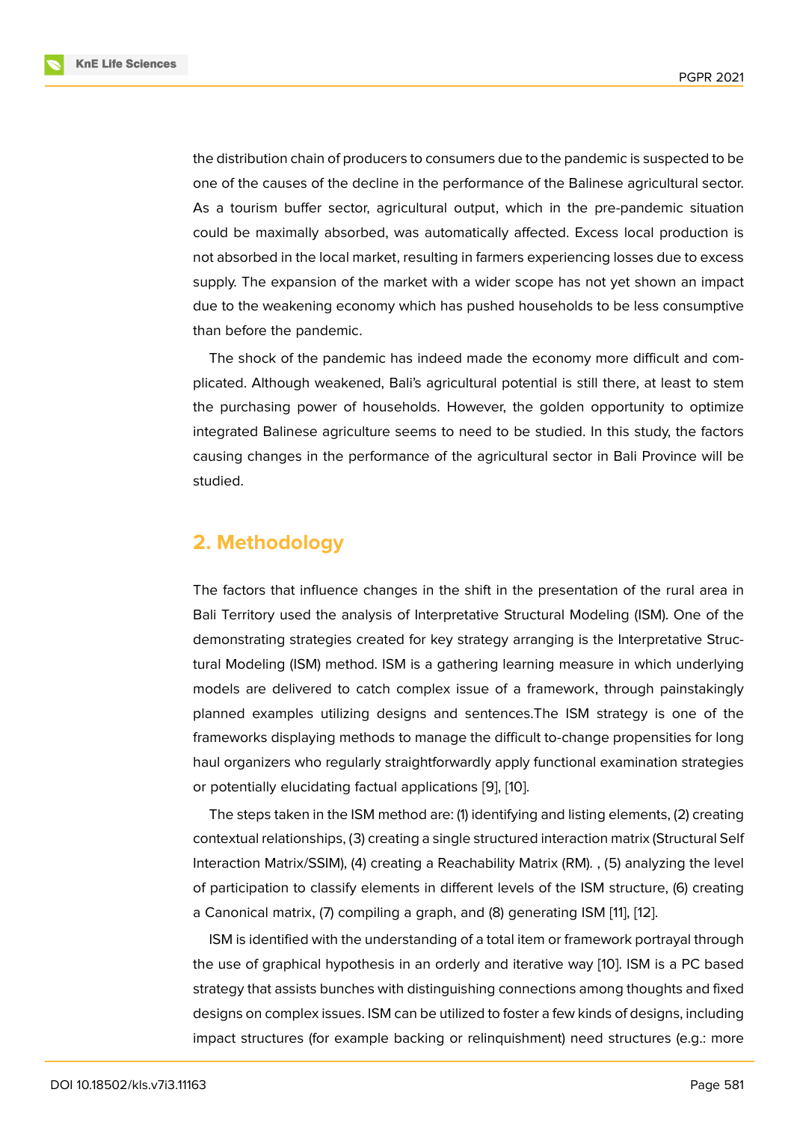the distribution chain of producers to consumers due to the pandemic is suspected to be one of the causes of the decline in the performance of the Balinese agricultural sector. As a tourism buffer sector, agricultural output, which in the pre-pandemic situation could be maximally absorbed, was automatically affected. Excess local production is not absorbed in the local market, resulting in farmers experiencing losses due to excess supply. The expansion of the market with a wider scope has not yet shown an impact due to the weakening economy which has pushed households to be less consumptive than before the pandemic.

The shock of the pandemic has indeed made the economy more difficult and complicated. Although weakened, Bali's agricultural potential is still there, at least to stem the purchasing power of households. However, the golden opportunity to optimize integrated Balinese agriculture seems to need to be studied. In this study, the factors causing changes in the performance of the agricultural sector in Bali Province will be studied.

# **2. Methodology**

The factors that influence changes in the shift in the presentation of the rural area in Bali Territory used the analysis of Interpretative Structural Modeling (ISM). One of the demonstrating strategies created for key strategy arranging is the Interpretative Structural Modeling (ISM) method. ISM is a gathering learning measure in which underlying models are delivered to catch complex issue of a framework, through painstakingly planned examples utilizing designs and sentences.The ISM strategy is one of the frameworks displaying methods to manage the difficult to-change propensities for long haul organizers who regularly straightforwardly apply functional examination strategies or potentially elucidating factual applications [9], [10].

The steps taken in the ISM method are: (1) identifying and listing elements, (2) creating contextual relationships, (3) creating a single structured interaction matrix (Structural Self Interaction Matrix/SSIM), (4) creating a Reach[abi](#page-12-4)lit[y M](#page-12-5)atrix (RM). , (5) analyzing the level of participation to classify elements in different levels of the ISM structure, (6) creating a Canonical matrix, (7) compiling a graph, and (8) generating ISM [11], [12].

ISM is identified with the understanding of a total item or framework portrayal through the use of graphical hypothesis in an orderly and iterative way [10]. ISM is a PC based strategy that assists bunches with distinguishing connections amo[ng](#page-12-6) t[hou](#page-12-7)ghts and fixed designs on complex issues. ISM can be utilized to foster a few kinds of designs, including impact structures (for example backing or relinquishment) nee[d st](#page-12-5)ructures (e.g.: more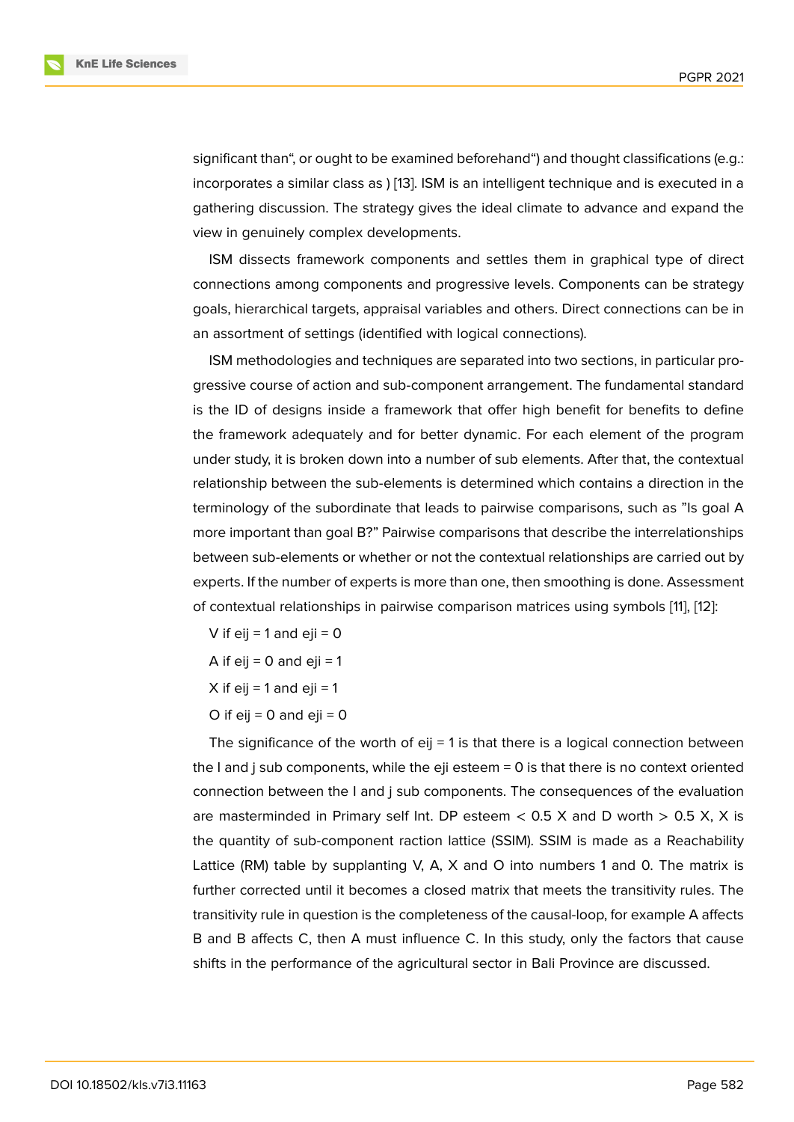significant than", or ought to be examined beforehand") and thought classifications (e.g.: incorporates a similar class as ) [13]. ISM is an intelligent technique and is executed in a gathering discussion. The strategy gives the ideal climate to advance and expand the view in genuinely complex developments.

ISM dissects framework co[mpo](#page-12-8)nents and settles them in graphical type of direct connections among components and progressive levels. Components can be strategy goals, hierarchical targets, appraisal variables and others. Direct connections can be in an assortment of settings (identified with logical connections).

ISM methodologies and techniques are separated into two sections, in particular progressive course of action and sub-component arrangement. The fundamental standard is the ID of designs inside a framework that offer high benefit for benefits to define the framework adequately and for better dynamic. For each element of the program under study, it is broken down into a number of sub elements. After that, the contextual relationship between the sub-elements is determined which contains a direction in the terminology of the subordinate that leads to pairwise comparisons, such as "Is goal A more important than goal B?" Pairwise comparisons that describe the interrelationships between sub-elements or whether or not the contextual relationships are carried out by experts. If the number of experts is more than one, then smoothing is done. Assessment of contextual relationships in pairwise comparison matrices using symbols [11], [12]:

V if  $e^{i} = 1$  and  $e^{i} = 0$ 

A if  $ei = 0$  and  $ei = 1$ 

X if eij = 1 and eji = 1

O if  $e^{i} = 0$  and  $e^{i} = 0$ 

The significance of the worth of  $e^{i}$  = 1 is that there is a logical connection between the I and j sub components, while the eji esteem = 0 is that there is no context oriented connection between the I and j sub components. The consequences of the evaluation are masterminded in Primary self Int. DP esteem  $<$  0.5 X and D worth  $>$  0.5 X, X is the quantity of sub-component raction lattice (SSIM). SSIM is made as a Reachability Lattice (RM) table by supplanting V, A, X and O into numbers 1 and 0. The matrix is further corrected until it becomes a closed matrix that meets the transitivity rules. The transitivity rule in question is the completeness of the causal-loop, for example A affects B and B affects C, then A must influence C. In this study, only the factors that cause shifts in the performance of the agricultural sector in Bali Province are discussed.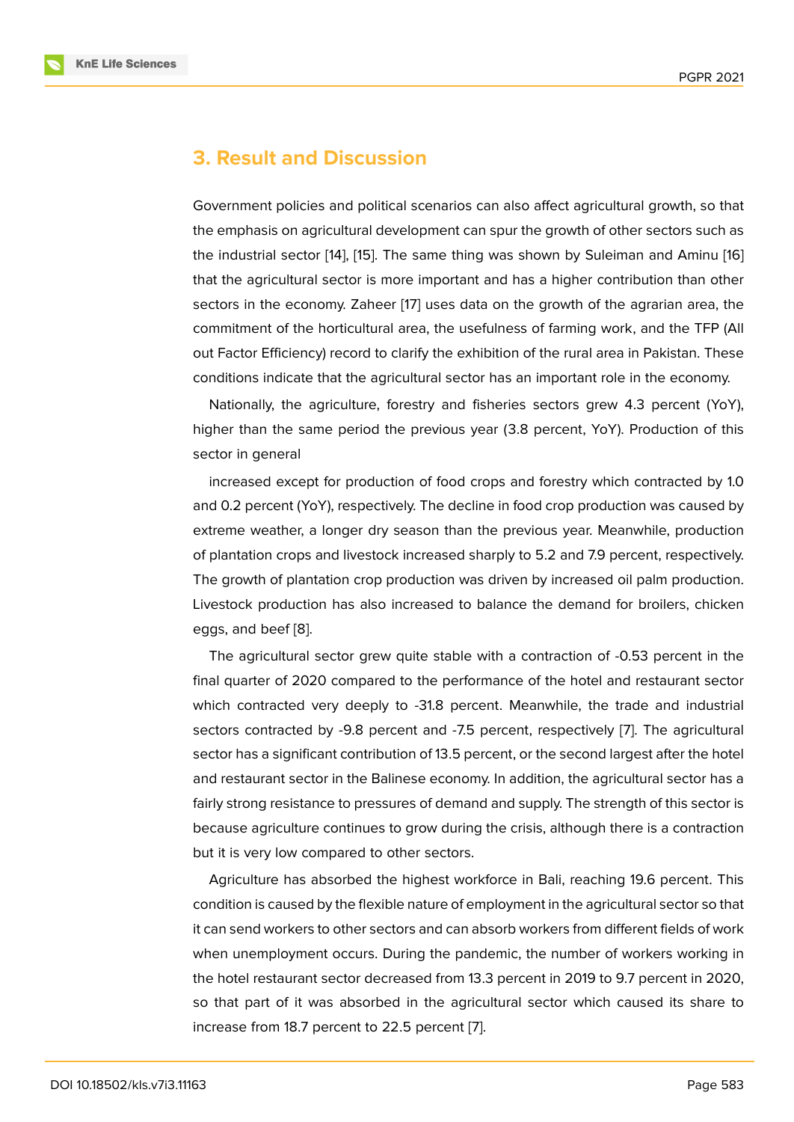## **3. Result and Discussion**

Government policies and political scenarios can also affect agricultural growth, so that the emphasis on agricultural development can spur the growth of other sectors such as the industrial sector [14], [15]. The same thing was shown by Suleiman and Aminu [16] that the agricultural sector is more important and has a higher contribution than other sectors in the economy. Zaheer [17] uses data on the growth of the agrarian area, the commitment of the h[ort](#page-12-9)ic[ultu](#page-12-10)ral area, the usefulness of farming work, and the TFP [\(All](#page-12-11) out Factor Efficiency) record to clarify the exhibition of the rural area in Pakistan. These conditions indicate that the agric[ult](#page-12-12)ural sector has an important role in the economy.

Nationally, the agriculture, forestry and fisheries sectors grew 4.3 percent (YoY), higher than the same period the previous year (3.8 percent, YoY). Production of this sector in general

increased except for production of food crops and forestry which contracted by 1.0 and 0.2 percent (YoY), respectively. The decline in food crop production was caused by extreme weather, a longer dry season than the previous year. Meanwhile, production of plantation crops and livestock increased sharply to 5.2 and 7.9 percent, respectively. The growth of plantation crop production was driven by increased oil palm production. Livestock production has also increased to balance the demand for broilers, chicken eggs, and beef [8].

The agricultural sector grew quite stable with a contraction of -0.53 percent in the final quarter of 2020 compared to the performance of the hotel and restaurant sector which contracte[d](#page-12-3) very deeply to -31.8 percent. Meanwhile, the trade and industrial sectors contracted by -9.8 percent and -7.5 percent, respectively [7]. The agricultural sector has a significant contribution of 13.5 percent, or the second largest after the hotel and restaurant sector in the Balinese economy. In addition, the agricultural sector has a fairly strong resistance to pressures of demand and supply. The stre[ng](#page-12-2)th of this sector is because agriculture continues to grow during the crisis, although there is a contraction but it is very low compared to other sectors.

Agriculture has absorbed the highest workforce in Bali, reaching 19.6 percent. This condition is caused by the flexible nature of employment in the agricultural sector so that it can send workers to other sectors and can absorb workers from different fields of work when unemployment occurs. During the pandemic, the number of workers working in the hotel restaurant sector decreased from 13.3 percent in 2019 to 9.7 percent in 2020, so that part of it was absorbed in the agricultural sector which caused its share to increase from 18.7 percent to 22.5 percent [7].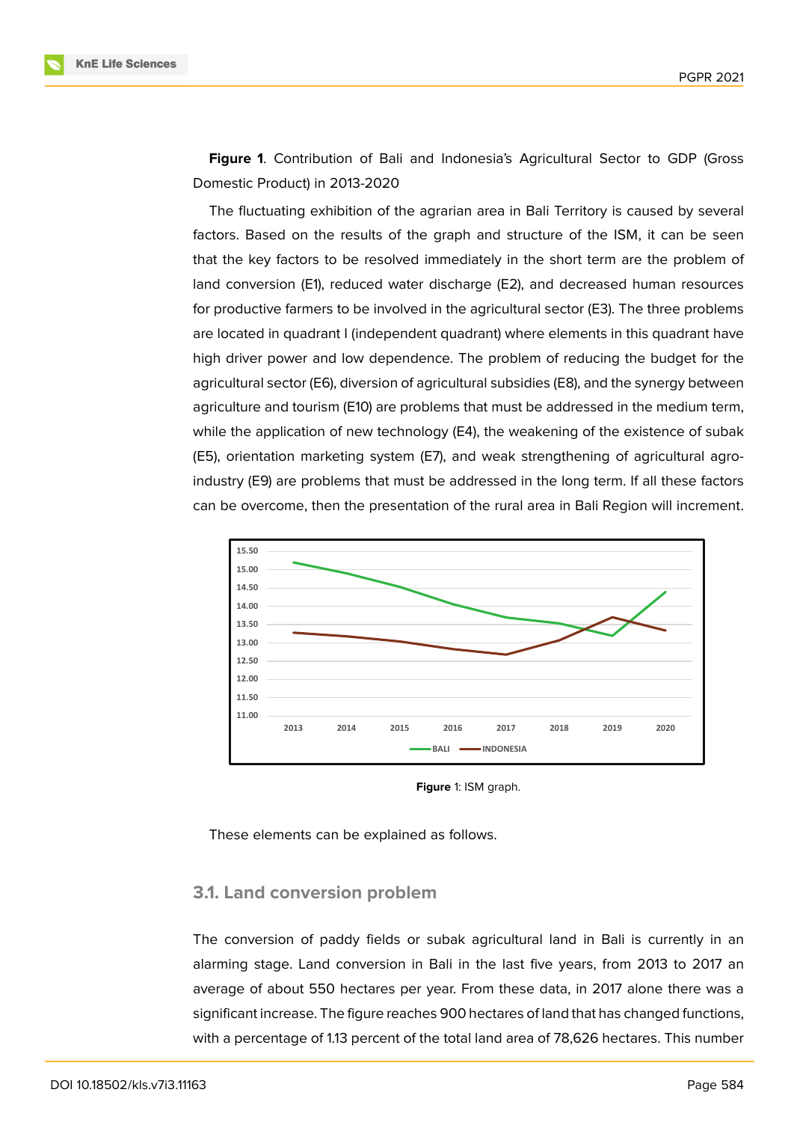**Figure 1**. Contribution of Bali and Indonesia's Agricultural Sector to GDP (Gross Domestic Product) in 2013-2020

The fluctuating exhibition of the agrarian area in Bali Territory is caused by several factors. B[as](#page-5-0)ed on the results of the graph and structure of the ISM, it can be seen that the key factors to be resolved immediately in the short term are the problem of land conversion (E1), reduced water discharge (E2), and decreased human resources for productive farmers to be involved in the agricultural sector (E3). The three problems are located in quadrant I (independent quadrant) where elements in this quadrant have high driver power and low dependence. The problem of reducing the budget for the agricultural sector (E6), diversion of agricultural subsidies (E8), and the synergy between agriculture and tourism (E10) are problems that must be addressed in the medium term, while the application of new technology (E4), the weakening of the existence of subak (E5), orientation marketing system (E7), and weak strengthening of agricultural agroindustry (E9) are problems that must be addressed in the long term. If all these factors can be overcome, then the presentation of the rural area in Bali Region will increment.



<span id="page-5-0"></span>**Figure** 1: ISM graph.

These elements can be explained as follows.

#### **3.1. Land conversion problem**

The conversion of paddy fields or subak agricultural land in Bali is currently in an alarming stage. Land conversion in Bali in the last five years, from 2013 to 2017 an average of about 550 hectares per year. From these data, in 2017 alone there was a significant increase. The figure reaches 900 hectares of land that has changed functions, with a percentage of 1.13 percent of the total land area of 78,626 hectares. This number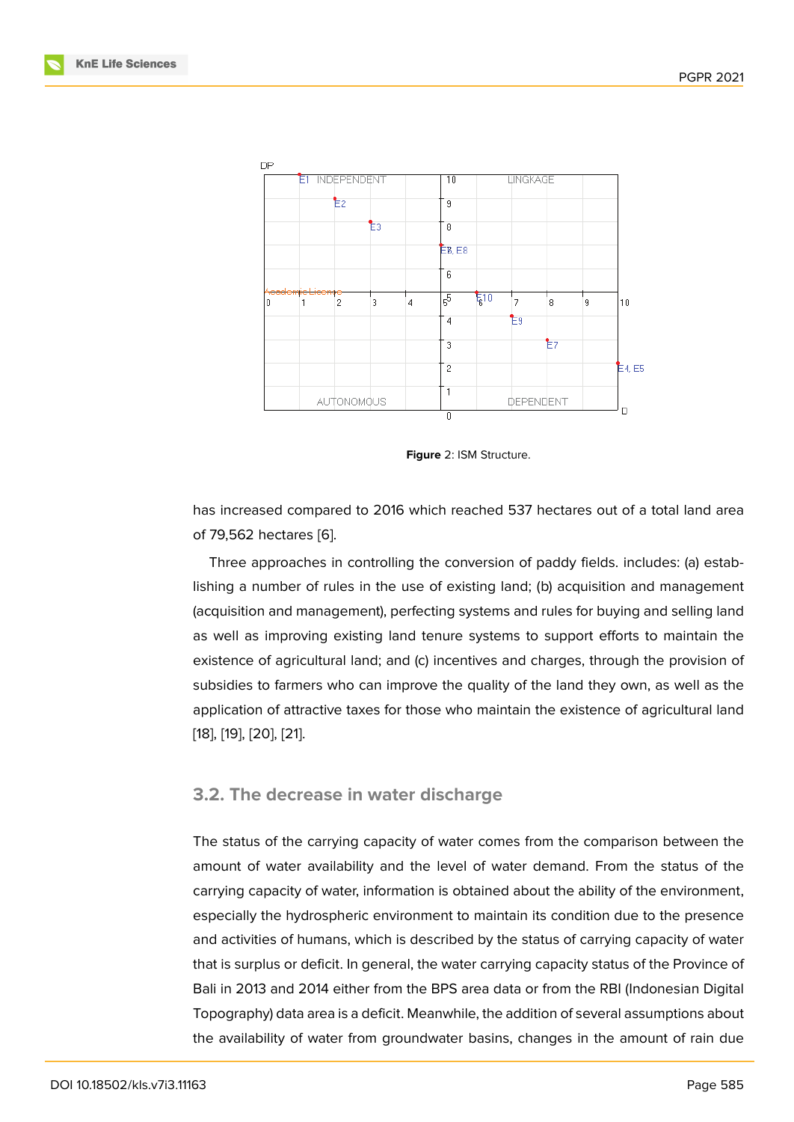

**Figure** 2: ISM Structure.

has increased compared to 2016 which reached 537 hectares out of a total land area of 79,562 hectares [6].

Three approaches in controlling the conversion of paddy fields. includes: (a) establishing a number of rules in the use of existing land; (b) acquisition and management (acquisition and ma[na](#page-12-1)gement), perfecting systems and rules for buying and selling land as well as improving existing land tenure systems to support efforts to maintain the existence of agricultural land; and (c) incentives and charges, through the provision of subsidies to farmers who can improve the quality of the land they own, as well as the application of attractive taxes for those who maintain the existence of agricultural land [18], [19], [20], [21].

#### **[3.2](#page-12-13). [T](#page-12-14)h[e d](#page-13-0)[ecr](#page-13-1)ease in water discharge**

The status of the carrying capacity of water comes from the comparison between the amount of water availability and the level of water demand. From the status of the carrying capacity of water, information is obtained about the ability of the environment, especially the hydrospheric environment to maintain its condition due to the presence and activities of humans, which is described by the status of carrying capacity of water that is surplus or deficit. In general, the water carrying capacity status of the Province of Bali in 2013 and 2014 either from the BPS area data or from the RBI (Indonesian Digital Topography) data area is a deficit. Meanwhile, the addition of several assumptions about the availability of water from groundwater basins, changes in the amount of rain due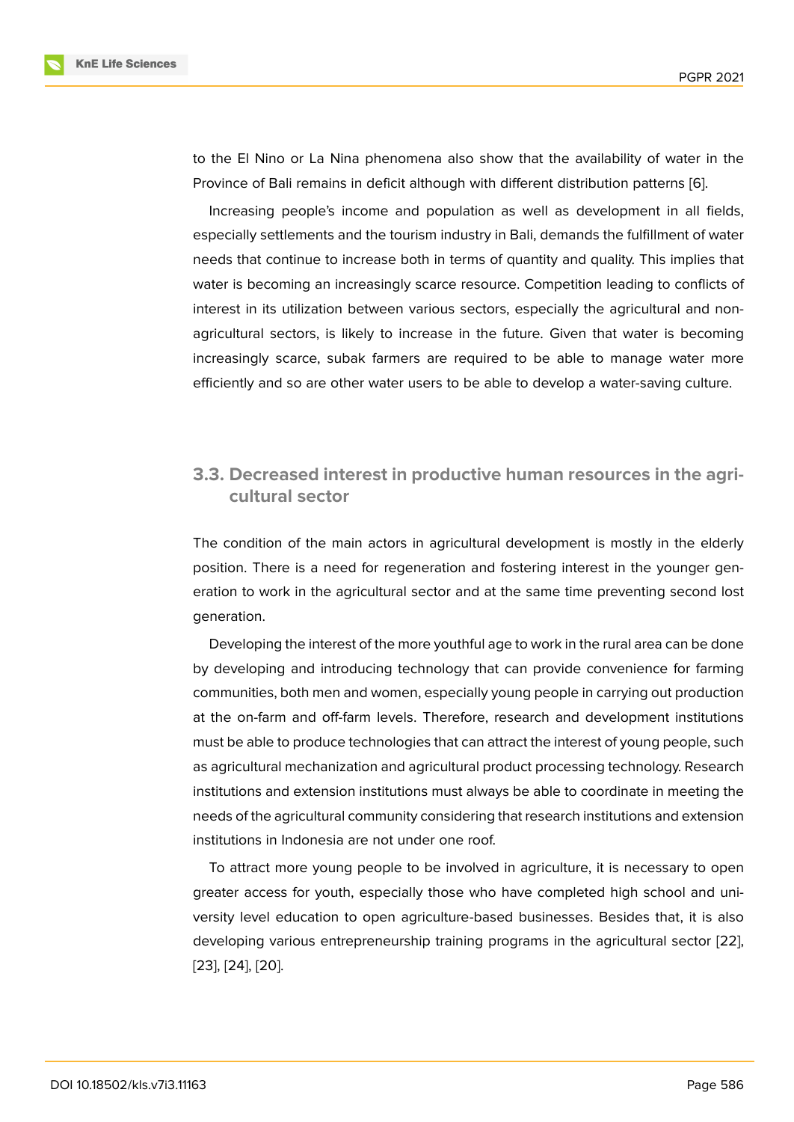to the El Nino or La Nina phenomena also show that the availability of water in the Province of Bali remains in deficit although with different distribution patterns [6].

Increasing people's income and population as well as development in all fields, especially settlements and the tourism industry in Bali, demands the fulfillment of water needs that continue to increase both in terms of quantity and quality. This im[plie](#page-12-1)s that water is becoming an increasingly scarce resource. Competition leading to conflicts of interest in its utilization between various sectors, especially the agricultural and nonagricultural sectors, is likely to increase in the future. Given that water is becoming increasingly scarce, subak farmers are required to be able to manage water more efficiently and so are other water users to be able to develop a water-saving culture.

## **3.3. Decreased interest in productive human resources in the agricultural sector**

The condition of the main actors in agricultural development is mostly in the elderly position. There is a need for regeneration and fostering interest in the younger generation to work in the agricultural sector and at the same time preventing second lost generation.

Developing the interest of the more youthful age to work in the rural area can be done by developing and introducing technology that can provide convenience for farming communities, both men and women, especially young people in carrying out production at the on-farm and off-farm levels. Therefore, research and development institutions must be able to produce technologies that can attract the interest of young people, such as agricultural mechanization and agricultural product processing technology. Research institutions and extension institutions must always be able to coordinate in meeting the needs of the agricultural community considering that research institutions and extension institutions in Indonesia are not under one roof.

To attract more young people to be involved in agriculture, it is necessary to open greater access for youth, especially those who have completed high school and university level education to open agriculture-based businesses. Besides that, it is also developing various entrepreneurship training programs in the agricultural sector [22], [23], [24], [20].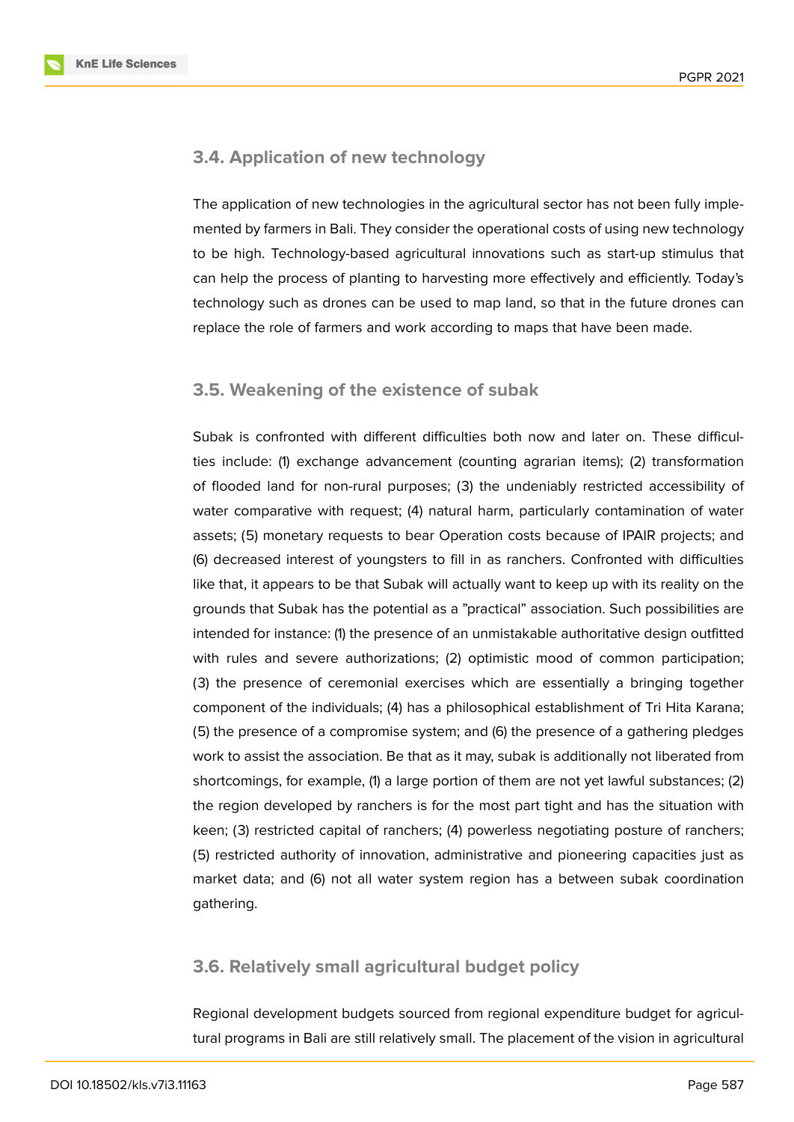**KnE Life Sciences** 



### **3.4. Application of new technology**

The application of new technologies in the agricultural sector has not been fully implemented by farmers in Bali. They consider the operational costs of using new technology to be high. Technology-based agricultural innovations such as start-up stimulus that can help the process of planting to harvesting more effectively and efficiently. Today's technology such as drones can be used to map land, so that in the future drones can replace the role of farmers and work according to maps that have been made.

## **3.5. Weakening of the existence of subak**

Subak is confronted with different difficulties both now and later on. These difficulties include: (1) exchange advancement (counting agrarian items); (2) transformation of flooded land for non-rural purposes; (3) the undeniably restricted accessibility of water comparative with request; (4) natural harm, particularly contamination of water assets; (5) monetary requests to bear Operation costs because of IPAIR projects; and (6) decreased interest of youngsters to fill in as ranchers. Confronted with difficulties like that, it appears to be that Subak will actually want to keep up with its reality on the grounds that Subak has the potential as a "practical" association. Such possibilities are intended for instance: (1) the presence of an unmistakable authoritative design outfitted with rules and severe authorizations; (2) optimistic mood of common participation; (3) the presence of ceremonial exercises which are essentially a bringing together component of the individuals; (4) has a philosophical establishment of Tri Hita Karana; (5) the presence of a compromise system; and (6) the presence of a gathering pledges work to assist the association. Be that as it may, subak is additionally not liberated from shortcomings, for example, (1) a large portion of them are not yet lawful substances; (2) the region developed by ranchers is for the most part tight and has the situation with keen; (3) restricted capital of ranchers; (4) powerless negotiating posture of ranchers; (5) restricted authority of innovation, administrative and pioneering capacities just as market data; and (6) not all water system region has a between subak coordination gathering.

## **3.6. Relatively small agricultural budget policy**

Regional development budgets sourced from regional expenditure budget for agricultural programs in Bali are still relatively small. The placement of the vision in agricultural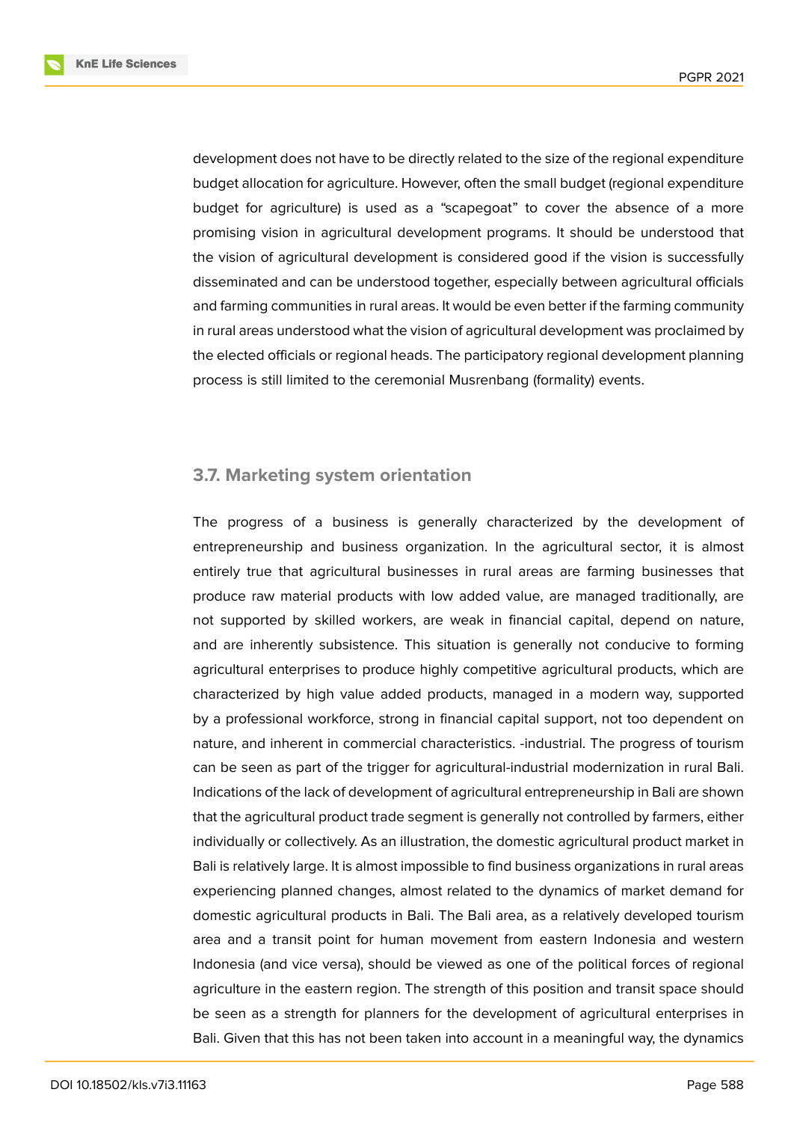**KnE Life Sciences** 



development does not have to be directly related to the size of the regional expenditure budget allocation for agriculture. However, often the small budget (regional expenditure budget for agriculture) is used as a "scapegoat" to cover the absence of a more promising vision in agricultural development programs. It should be understood that the vision of agricultural development is considered good if the vision is successfully disseminated and can be understood together, especially between agricultural officials and farming communities in rural areas. It would be even better if the farming community in rural areas understood what the vision of agricultural development was proclaimed by the elected officials or regional heads. The participatory regional development planning process is still limited to the ceremonial Musrenbang (formality) events.

#### **3.7. Marketing system orientation**

The progress of a business is generally characterized by the development of entrepreneurship and business organization. In the agricultural sector, it is almost entirely true that agricultural businesses in rural areas are farming businesses that produce raw material products with low added value, are managed traditionally, are not supported by skilled workers, are weak in financial capital, depend on nature, and are inherently subsistence. This situation is generally not conducive to forming agricultural enterprises to produce highly competitive agricultural products, which are characterized by high value added products, managed in a modern way, supported by a professional workforce, strong in financial capital support, not too dependent on nature, and inherent in commercial characteristics. -industrial. The progress of tourism can be seen as part of the trigger for agricultural-industrial modernization in rural Bali. Indications of the lack of development of agricultural entrepreneurship in Bali are shown that the agricultural product trade segment is generally not controlled by farmers, either individually or collectively. As an illustration, the domestic agricultural product market in Bali is relatively large. It is almost impossible to find business organizations in rural areas experiencing planned changes, almost related to the dynamics of market demand for domestic agricultural products in Bali. The Bali area, as a relatively developed tourism area and a transit point for human movement from eastern Indonesia and western Indonesia (and vice versa), should be viewed as one of the political forces of regional agriculture in the eastern region. The strength of this position and transit space should be seen as a strength for planners for the development of agricultural enterprises in Bali. Given that this has not been taken into account in a meaningful way, the dynamics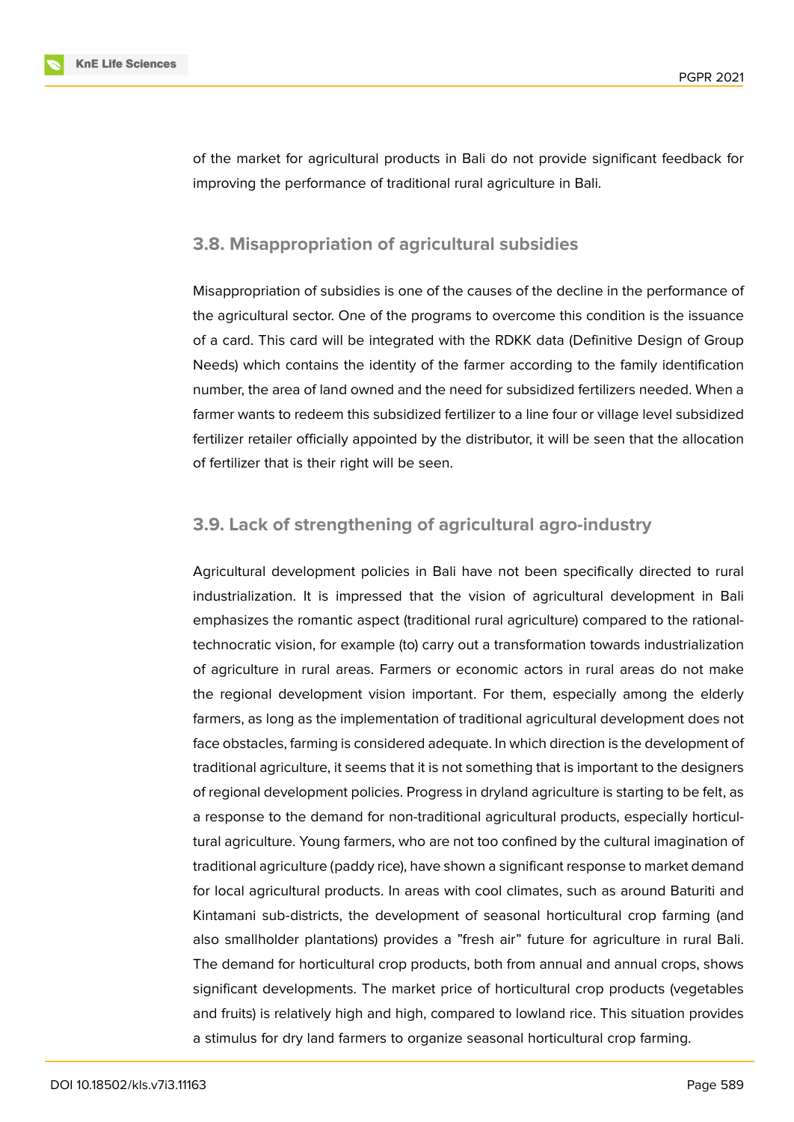

of the market for agricultural products in Bali do not provide significant feedback for improving the performance of traditional rural agriculture in Bali.

### **3.8. Misappropriation of agricultural subsidies**

Misappropriation of subsidies is one of the causes of the decline in the performance of the agricultural sector. One of the programs to overcome this condition is the issuance of a card. This card will be integrated with the RDKK data (Definitive Design of Group Needs) which contains the identity of the farmer according to the family identification number, the area of land owned and the need for subsidized fertilizers needed. When a farmer wants to redeem this subsidized fertilizer to a line four or village level subsidized fertilizer retailer officially appointed by the distributor, it will be seen that the allocation of fertilizer that is their right will be seen.

#### **3.9. Lack of strengthening of agricultural agro-industry**

Agricultural development policies in Bali have not been specifically directed to rural industrialization. It is impressed that the vision of agricultural development in Bali emphasizes the romantic aspect (traditional rural agriculture) compared to the rationaltechnocratic vision, for example (to) carry out a transformation towards industrialization of agriculture in rural areas. Farmers or economic actors in rural areas do not make the regional development vision important. For them, especially among the elderly farmers, as long as the implementation of traditional agricultural development does not face obstacles, farming is considered adequate. In which direction is the development of traditional agriculture, it seems that it is not something that is important to the designers of regional development policies. Progress in dryland agriculture is starting to be felt, as a response to the demand for non-traditional agricultural products, especially horticultural agriculture. Young farmers, who are not too confined by the cultural imagination of traditional agriculture (paddy rice), have shown a significant response to market demand for local agricultural products. In areas with cool climates, such as around Baturiti and Kintamani sub-districts, the development of seasonal horticultural crop farming (and also smallholder plantations) provides a "fresh air" future for agriculture in rural Bali. The demand for horticultural crop products, both from annual and annual crops, shows significant developments. The market price of horticultural crop products (vegetables and fruits) is relatively high and high, compared to lowland rice. This situation provides a stimulus for dry land farmers to organize seasonal horticultural crop farming.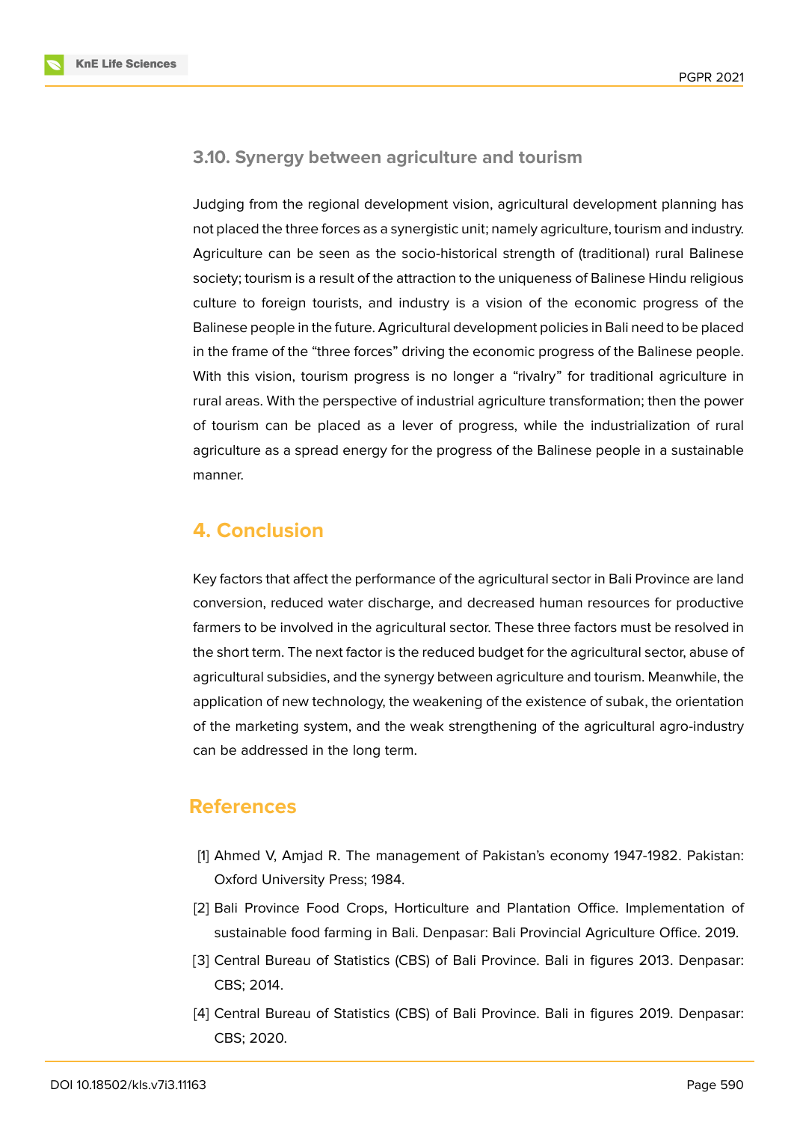**KnE Life Sciences** 



### **3.10. Synergy between agriculture and tourism**

Judging from the regional development vision, agricultural development planning has not placed the three forces as a synergistic unit; namely agriculture, tourism and industry. Agriculture can be seen as the socio-historical strength of (traditional) rural Balinese society; tourism is a result of the attraction to the uniqueness of Balinese Hindu religious culture to foreign tourists, and industry is a vision of the economic progress of the Balinese people in the future. Agricultural development policies in Bali need to be placed in the frame of the "three forces" driving the economic progress of the Balinese people. With this vision, tourism progress is no longer a "rivalry" for traditional agriculture in rural areas. With the perspective of industrial agriculture transformation; then the power of tourism can be placed as a lever of progress, while the industrialization of rural agriculture as a spread energy for the progress of the Balinese people in a sustainable manner.

# **4. Conclusion**

Key factors that affect the performance of the agricultural sector in Bali Province are land conversion, reduced water discharge, and decreased human resources for productive farmers to be involved in the agricultural sector. These three factors must be resolved in the short term. The next factor is the reduced budget for the agricultural sector, abuse of agricultural subsidies, and the synergy between agriculture and tourism. Meanwhile, the application of new technology, the weakening of the existence of subak, the orientation of the marketing system, and the weak strengthening of the agricultural agro-industry can be addressed in the long term.

## **References**

- <span id="page-11-0"></span>[1] Ahmed V, Amjad R. The management of Pakistan's economy 1947-1982. Pakistan: Oxford University Press; 1984.
- <span id="page-11-1"></span>[2] Bali Province Food Crops, Horticulture and Plantation Office. Implementation of sustainable food farming in Bali. Denpasar: Bali Provincial Agriculture Office. 2019.
- <span id="page-11-2"></span>[3] Central Bureau of Statistics (CBS) of Bali Province. Bali in figures 2013. Denpasar: CBS; 2014.
- <span id="page-11-3"></span>[4] Central Bureau of Statistics (CBS) of Bali Province. Bali in figures 2019. Denpasar: CBS; 2020.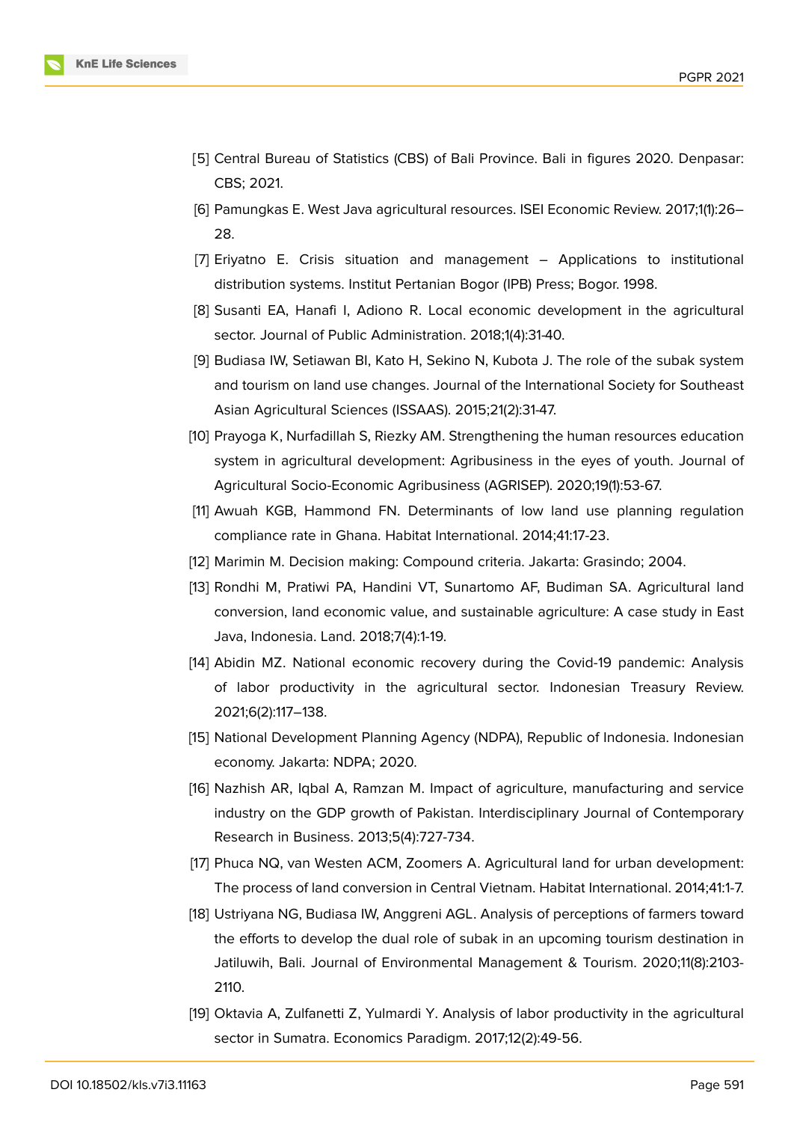

- <span id="page-12-0"></span>[5] Central Bureau of Statistics (CBS) of Bali Province. Bali in figures 2020. Denpasar: CBS; 2021.
- <span id="page-12-1"></span>[6] Pamungkas E. West Java agricultural resources. ISEI Economic Review. 2017;1(1):26– 28.
- <span id="page-12-2"></span>[7] Eriyatno E. Crisis situation and management – Applications to institutional distribution systems. Institut Pertanian Bogor (IPB) Press; Bogor. 1998.
- <span id="page-12-3"></span>[8] Susanti EA, Hanafi I, Adiono R. Local economic development in the agricultural sector. Journal of Public Administration. 2018;1(4):31-40.
- <span id="page-12-4"></span>[9] Budiasa IW, Setiawan BI, Kato H, Sekino N, Kubota J. The role of the subak system and tourism on land use changes. Journal of the International Society for Southeast Asian Agricultural Sciences (ISSAAS). 2015;21(2):31-47.
- <span id="page-12-5"></span>[10] Prayoga K, Nurfadillah S, Riezky AM. Strengthening the human resources education system in agricultural development: Agribusiness in the eyes of youth. Journal of Agricultural Socio-Economic Agribusiness (AGRISEP). 2020;19(1):53-67.
- <span id="page-12-6"></span>[11] Awuah KGB, Hammond FN. Determinants of low land use planning regulation compliance rate in Ghana. Habitat International. 2014;41:17-23.
- <span id="page-12-8"></span><span id="page-12-7"></span>[12] Marimin M. Decision making: Compound criteria. Jakarta: Grasindo; 2004.
- [13] Rondhi M, Pratiwi PA, Handini VT, Sunartomo AF, Budiman SA. Agricultural land conversion, land economic value, and sustainable agriculture: A case study in East Java, Indonesia. Land. 2018;7(4):1-19.
- <span id="page-12-9"></span>[14] Abidin MZ. National economic recovery during the Covid-19 pandemic: Analysis of labor productivity in the agricultural sector. Indonesian Treasury Review. 2021;6(2):117–138.
- <span id="page-12-10"></span>[15] National Development Planning Agency (NDPA), Republic of Indonesia. Indonesian economy. Jakarta: NDPA; 2020.
- <span id="page-12-11"></span>[16] Nazhish AR, Iqbal A, Ramzan M. Impact of agriculture, manufacturing and service industry on the GDP growth of Pakistan. Interdisciplinary Journal of Contemporary Research in Business. 2013;5(4):727-734.
- <span id="page-12-12"></span>[17] Phuca NQ, van Westen ACM, Zoomers A. Agricultural land for urban development: The process of land conversion in Central Vietnam. Habitat International. 2014;41:1-7.
- <span id="page-12-13"></span>[18] Ustriyana NG, Budiasa IW, Anggreni AGL. Analysis of perceptions of farmers toward the efforts to develop the dual role of subak in an upcoming tourism destination in Jatiluwih, Bali. Journal of Environmental Management & Tourism. 2020;11(8):2103- 2110.
- <span id="page-12-14"></span>[19] Oktavia A, Zulfanetti Z, Yulmardi Y. Analysis of labor productivity in the agricultural sector in Sumatra. Economics Paradigm. 2017;12(2):49-56.